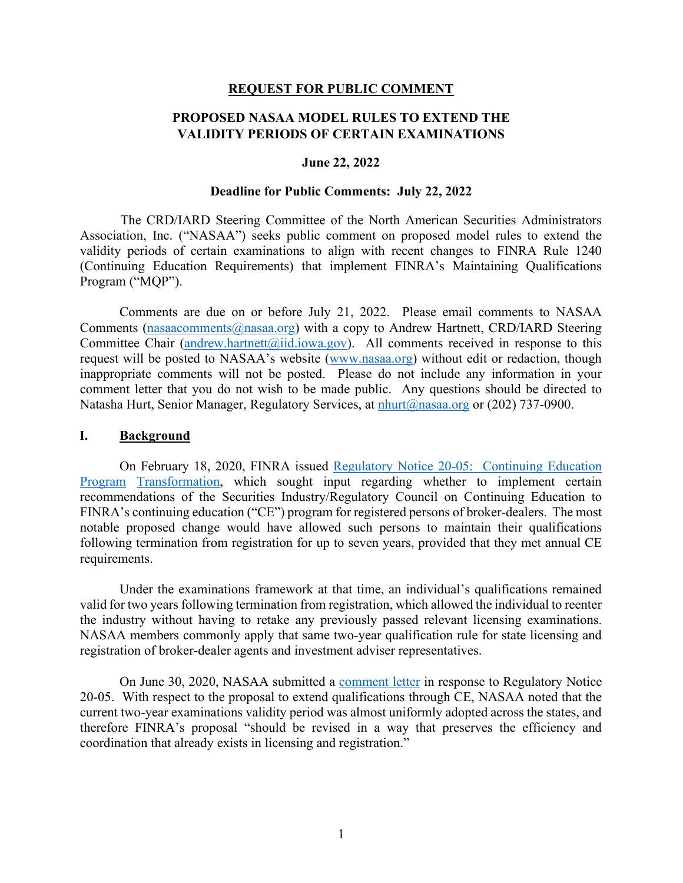#### **REQUEST FOR PUBLIC COMMENT**

# **PROPOSED NASAA MODEL RULES TO EXTEND THE VALIDITY PERIODS OF CERTAIN EXAMINATIONS**

#### **June 22, 2022**

#### **Deadline for Public Comments: July 22, 2022**

The CRD/IARD Steering Committee of the North American Securities Administrators Association, Inc. ("NASAA") seeks public comment on proposed model rules to extend the validity periods of certain examinations to align with recent changes to FINRA Rule 1240 (Continuing Education Requirements) that implement FINRA's Maintaining Qualifications Program ("MQP").

Comments are due on or before July 21, 2022. Please email comments to NASAA Comments (nasaacomments@nasaa.org) with a copy to Andrew Hartnett, CRD/IARD Steering Committee Chair (andrew.hartnett@iid.iowa.gov). All comments received in response to this request will be posted to NASAA's website [\(www.nasaa.org\)](http://www.nasaa.org/) without edit or redaction, though inappropriate comments will not be posted. Please do not include any information in your comment letter that you do not wish to be made public. Any questions should be directed to Natasha Hurt, Senior Manager, Regulatory Services, at nhurt@nasaa.org or (202) 737-0900.

### **I. Background**

On February 18, 2020, FINRA issued [Regulatory Notice 20-05: Continuing Education](https://www.finra.org/rules-guidance/notices/20-05)  [Program](https://www.finra.org/rules-guidance/notices/20-05) [Transformation,](https://www.finra.org/rules-guidance/notices/20-05) which sought input regarding whether to implement certain recommendations of the Securities Industry/Regulatory Council on Continuing Education to FINRA's continuing education ("CE") program for registered persons of broker-dealers. The most notable proposed change would have allowed such persons to maintain their qualifications following termination from registration for up to seven years, provided that they met annual CE requirements.

Under the examinations framework at that time, an individual's qualifications remained valid for two years following termination from registration, which allowed the individual to reenter the industry without having to retake any previously passed relevant licensing examinations. NASAA members commonly apply that same two-year qualification rule for state licensing and registration of broker-dealer agents and investment adviser representatives.

On June 30, 2020, NASAA submitted a [comment letter](https://www.nasaa.org/wp-content/uploads/2020/06/NASAA-Comment-Letter-re-Finra-Reg-Notice-20-05.pdf) in response to Regulatory Notice 20-05. With respect to the proposal to extend qualifications through CE, NASAA noted that the current two-year examinations validity period was almost uniformly adopted across the states, and therefore FINRA's proposal "should be revised in a way that preserves the efficiency and coordination that already exists in licensing and registration."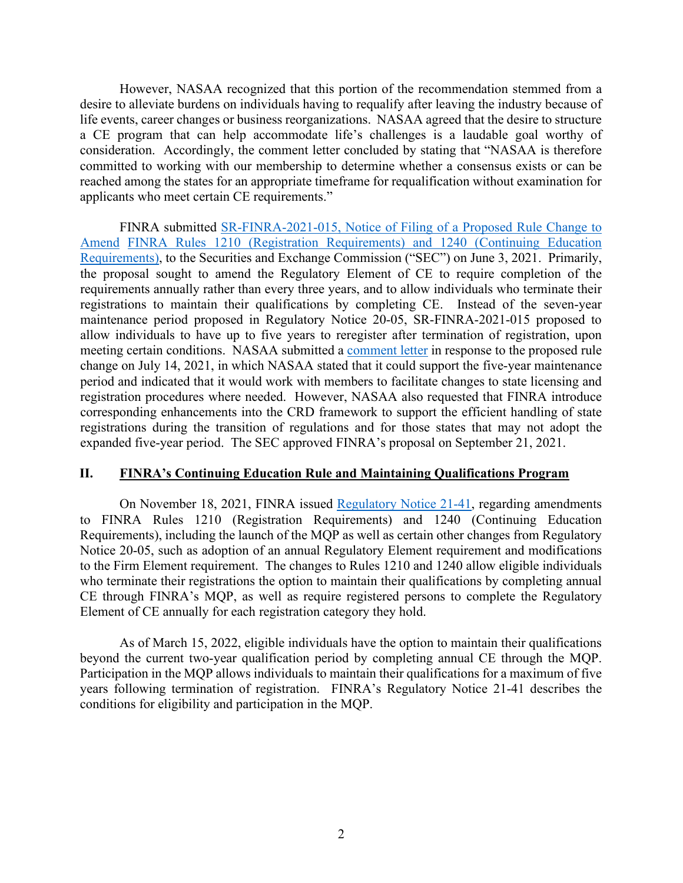However, NASAA recognized that this portion of the recommendation stemmed from a desire to alleviate burdens on individuals having to requalify after leaving the industry because of life events, career changes or business reorganizations. NASAA agreed that the desire to structure a CE program that can help accommodate life's challenges is a laudable goal worthy of consideration. Accordingly, the comment letter concluded by stating that "NASAA is therefore committed to working with our membership to determine whether a consensus exists or can be reached among the states for an appropriate timeframe for requalification without examination for applicants who meet certain CE requirements."

FINRA submitted [SR-FINRA-2021-015, Notice of Filing of a Proposed Rule Change to](https://www.finra.org/rules-guidance/rule-filings/sr-finra-2021-015)  [Amend](https://www.finra.org/rules-guidance/rule-filings/sr-finra-2021-015) [FINRA Rules 1210 \(Registration Requirements\) and 1240 \(Continuing Education](https://www.finra.org/rules-guidance/rule-filings/sr-finra-2021-015) [Requirements\),](https://www.finra.org/rules-guidance/rule-filings/sr-finra-2021-015) to the Securities and Exchange Commission ("SEC") on June 3, 2021. Primarily, the proposal sought to amend the Regulatory Element of CE to require completion of the requirements annually rather than every three years, and to allow individuals who terminate their registrations to maintain their qualifications by completing CE. Instead of the seven-year maintenance period proposed in Regulatory Notice 20-05, SR-FINRA-2021-015 proposed to allow individuals to have up to five years to reregister after termination of registration, upon meeting certain conditions. NASAA submitted a [comment letter](https://www.nasaa.org/wp-content/uploads/2021/07/NASAA_Comment_Letter_SR_FINRA_2021_015.pdf) in response to the proposed rule change on July 14, 2021, in which NASAA stated that it could support the five-year maintenance period and indicated that it would work with members to facilitate changes to state licensing and registration procedures where needed. However, NASAA also requested that FINRA introduce corresponding enhancements into the CRD framework to support the efficient handling of state registrations during the transition of regulations and for those states that may not adopt the expanded five-year period. The SEC approved FINRA's proposal on September 21, 2021.

## **II. FINRA's Continuing Education Rule and Maintaining Qualifications Program**

On November 18, 2021, FINRA issued [Regulatory Notice 21-41,](https://www.finra.org/rules-guidance/notices/21-41) regarding amendments to FINRA Rules 1210 (Registration Requirements) and 1240 (Continuing Education Requirements), including the launch of the MQP as well as certain other changes from Regulatory Notice 20-05, such as adoption of an annual Regulatory Element requirement and modifications to the Firm Element requirement. The changes to Rules 1210 and 1240 allow eligible individuals who terminate their registrations the option to maintain their qualifications by completing annual CE through FINRA's MQP, as well as require registered persons to complete the Regulatory Element of CE annually for each registration category they hold.

As of March 15, 2022, eligible individuals have the option to maintain their qualifications beyond the current two-year qualification period by completing annual CE through the MQP. Participation in the MQP allows individuals to maintain their qualifications for a maximum of five years following termination of registration. FINRA's Regulatory Notice 21-41 describes the conditions for eligibility and participation in the MQP.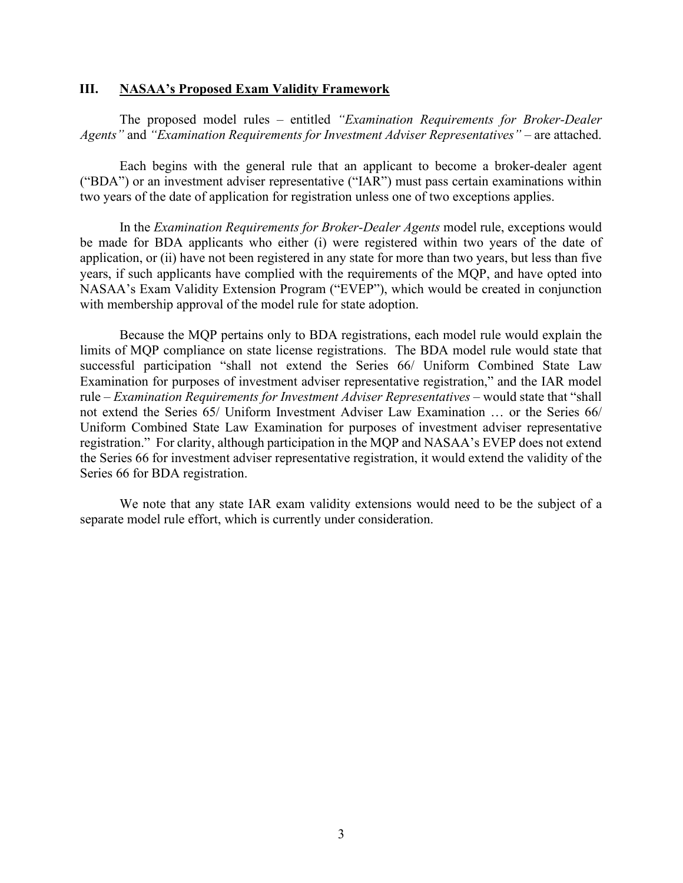### **III. NASAA's Proposed Exam Validity Framework**

The proposed model rules – entitled *"Examination Requirements for Broker-Dealer Agents"* and *"Examination Requirements for Investment Adviser Representatives"* – are attached.

Each begins with the general rule that an applicant to become a broker-dealer agent ("BDA") or an investment adviser representative ("IAR") must pass certain examinations within two years of the date of application for registration unless one of two exceptions applies.

In the *Examination Requirements for Broker-Dealer Agents* model rule, exceptions would be made for BDA applicants who either (i) were registered within two years of the date of application, or (ii) have not been registered in any state for more than two years, but less than five years, if such applicants have complied with the requirements of the MQP, and have opted into NASAA's Exam Validity Extension Program ("EVEP"), which would be created in conjunction with membership approval of the model rule for state adoption.

Because the MQP pertains only to BDA registrations, each model rule would explain the limits of MQP compliance on state license registrations. The BDA model rule would state that successful participation "shall not extend the Series 66/ Uniform Combined State Law Examination for purposes of investment adviser representative registration," and the IAR model rule – *Examination Requirements for Investment Adviser Representatives* – would state that "shall not extend the Series 65/ Uniform Investment Adviser Law Examination … or the Series 66/ Uniform Combined State Law Examination for purposes of investment adviser representative registration." For clarity, although participation in the MQP and NASAA's EVEP does not extend the Series 66 for investment adviser representative registration, it would extend the validity of the Series 66 for BDA registration.

We note that any state IAR exam validity extensions would need to be the subject of a separate model rule effort, which is currently under consideration.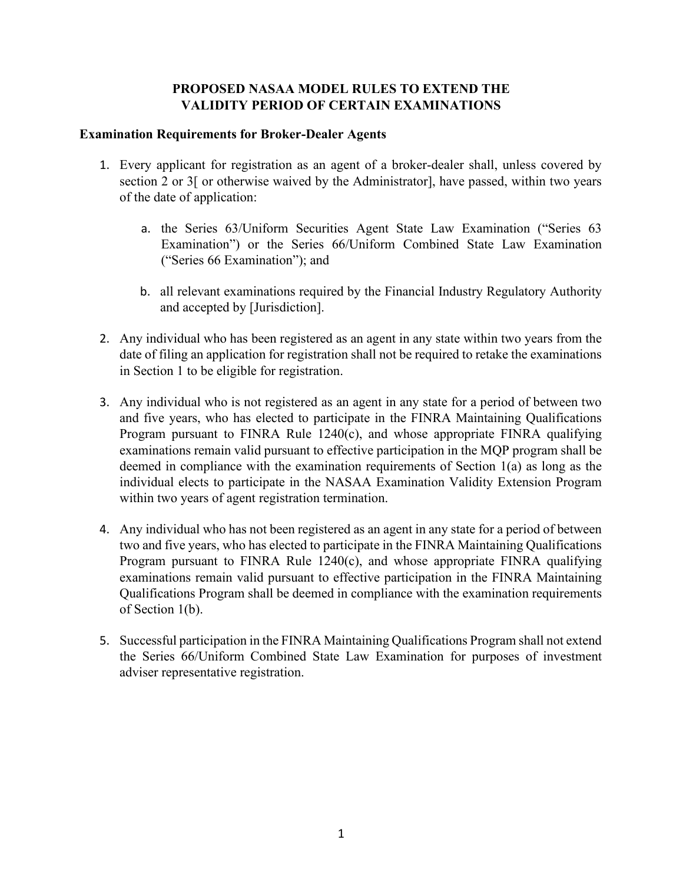# **PROPOSED NASAA MODEL RULES TO EXTEND THE VALIDITY PERIOD OF CERTAIN EXAMINATIONS**

## **Examination Requirements for Broker-Dealer Agents**

- 1. Every applicant for registration as an agent of a broker-dealer shall, unless covered by section 2 or 3[ or otherwise waived by the Administrator], have passed, within two years of the date of application:
	- a. the Series 63/Uniform Securities Agent State Law Examination ("Series 63 Examination") or the Series 66/Uniform Combined State Law Examination ("Series 66 Examination"); and
	- b. all relevant examinations required by the Financial Industry Regulatory Authority and accepted by [Jurisdiction].
- 2. Any individual who has been registered as an agent in any state within two years from the date of filing an application for registration shall not be required to retake the examinations in Section 1 to be eligible for registration.
- 3. Any individual who is not registered as an agent in any state for a period of between two and five years, who has elected to participate in the FINRA Maintaining Qualifications Program pursuant to FINRA Rule 1240(c), and whose appropriate FINRA qualifying examinations remain valid pursuant to effective participation in the MQP program shall be deemed in compliance with the examination requirements of Section 1(a) as long as the individual elects to participate in the NASAA Examination Validity Extension Program within two years of agent registration termination.
- 4. Any individual who has not been registered as an agent in any state for a period of between two and five years, who has elected to participate in the FINRA Maintaining Qualifications Program pursuant to FINRA Rule 1240(c), and whose appropriate FINRA qualifying examinations remain valid pursuant to effective participation in the FINRA Maintaining Qualifications Program shall be deemed in compliance with the examination requirements of Section 1(b).
- 5. Successful participation in the FINRA Maintaining Qualifications Program shall not extend the Series 66/Uniform Combined State Law Examination for purposes of investment adviser representative registration.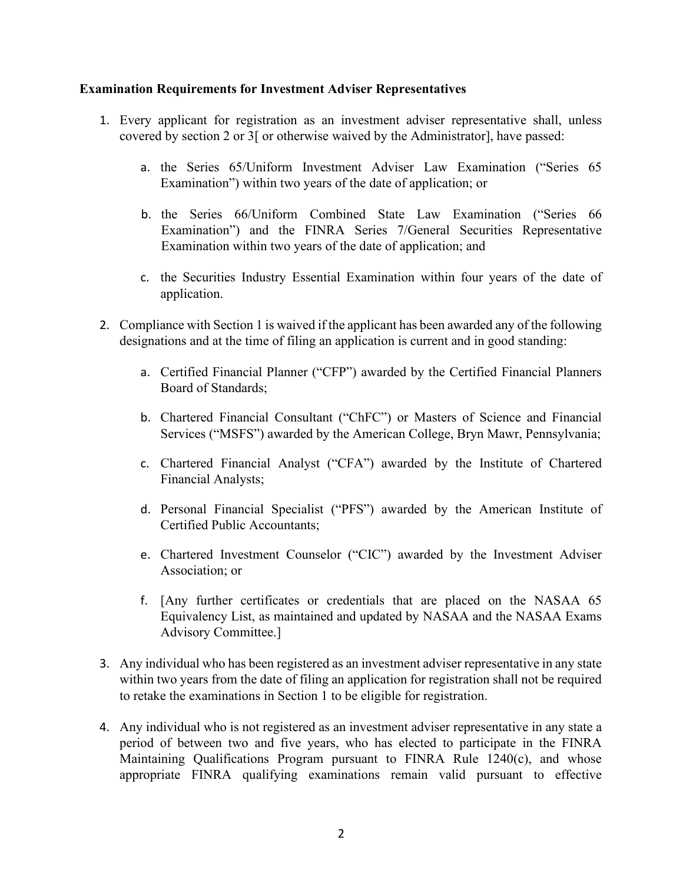## **Examination Requirements for Investment Adviser Representatives**

- 1. Every applicant for registration as an investment adviser representative shall, unless covered by section 2 or 3[ or otherwise waived by the Administrator], have passed:
	- a. the Series 65/Uniform Investment Adviser Law Examination ("Series 65 Examination") within two years of the date of application; or
	- b. the Series 66/Uniform Combined State Law Examination ("Series 66 Examination") and the FINRA Series 7/General Securities Representative Examination within two years of the date of application; and
	- c. the Securities Industry Essential Examination within four years of the date of application.
- 2. Compliance with Section 1 is waived if the applicant has been awarded any of the following designations and at the time of filing an application is current and in good standing:
	- a. Certified Financial Planner ("CFP") awarded by the Certified Financial Planners Board of Standards;
	- b. Chartered Financial Consultant ("ChFC") or Masters of Science and Financial Services ("MSFS") awarded by the American College, Bryn Mawr, Pennsylvania;
	- c. Chartered Financial Analyst ("CFA") awarded by the Institute of Chartered Financial Analysts;
	- d. Personal Financial Specialist ("PFS") awarded by the American Institute of Certified Public Accountants;
	- e. Chartered Investment Counselor ("CIC") awarded by the Investment Adviser Association; or
	- f. [Any further certificates or credentials that are placed on the NASAA 65 Equivalency List, as maintained and updated by NASAA and the NASAA Exams Advisory Committee.]
- 3. Any individual who has been registered as an investment adviser representative in any state within two years from the date of filing an application for registration shall not be required to retake the examinations in Section 1 to be eligible for registration.
- 4. Any individual who is not registered as an investment adviser representative in any state a period of between two and five years, who has elected to participate in the FINRA Maintaining Qualifications Program pursuant to FINRA Rule 1240(c), and whose appropriate FINRA qualifying examinations remain valid pursuant to effective